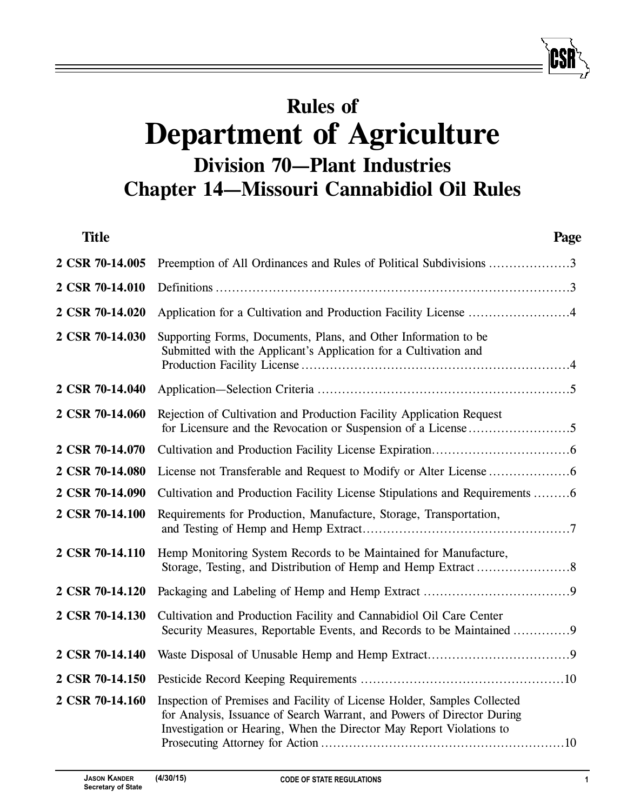# **Rules of Department of Agriculture Division 70—Plant Industries Chapter 14—Missouri Cannabidiol Oil Rules**

| <b>Title</b>    | Page                                                                                                                                                                                                                        |
|-----------------|-----------------------------------------------------------------------------------------------------------------------------------------------------------------------------------------------------------------------------|
| 2 CSR 70-14.005 | Preemption of All Ordinances and Rules of Political Subdivisions 3                                                                                                                                                          |
| 2 CSR 70-14.010 |                                                                                                                                                                                                                             |
| 2 CSR 70-14.020 | Application for a Cultivation and Production Facility License 4                                                                                                                                                             |
| 2 CSR 70-14.030 | Supporting Forms, Documents, Plans, and Other Information to be<br>Submitted with the Applicant's Application for a Cultivation and                                                                                         |
| 2 CSR 70-14.040 |                                                                                                                                                                                                                             |
| 2 CSR 70-14.060 | Rejection of Cultivation and Production Facility Application Request                                                                                                                                                        |
| 2 CSR 70-14.070 |                                                                                                                                                                                                                             |
| 2 CSR 70-14.080 |                                                                                                                                                                                                                             |
| 2 CSR 70-14.090 | Cultivation and Production Facility License Stipulations and Requirements 6                                                                                                                                                 |
| 2 CSR 70-14.100 | Requirements for Production, Manufacture, Storage, Transportation,                                                                                                                                                          |
| 2 CSR 70-14.110 | Hemp Monitoring System Records to be Maintained for Manufacture,                                                                                                                                                            |
| 2 CSR 70-14.120 |                                                                                                                                                                                                                             |
| 2 CSR 70-14.130 | Cultivation and Production Facility and Cannabidiol Oil Care Center<br>Security Measures, Reportable Events, and Records to be Maintained 9                                                                                 |
| 2 CSR 70-14.140 |                                                                                                                                                                                                                             |
| 2 CSR 70-14.150 |                                                                                                                                                                                                                             |
| 2 CSR 70-14.160 | Inspection of Premises and Facility of License Holder, Samples Collected<br>for Analysis, Issuance of Search Warrant, and Powers of Director During<br>Investigation or Hearing, When the Director May Report Violations to |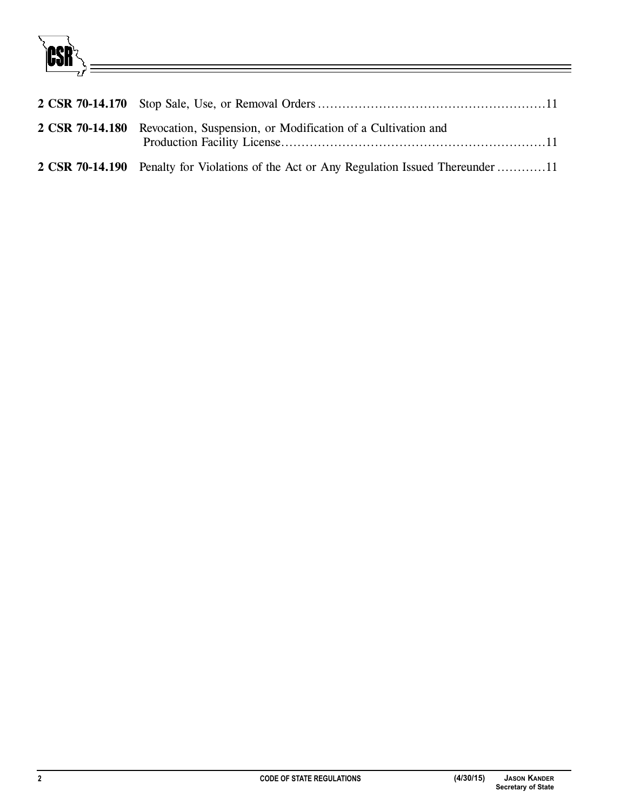

| 2 CSR 70-14.180 Revocation, Suspension, or Modification of a Cultivation and             |
|------------------------------------------------------------------------------------------|
| 2 CSR 70-14.190 Penalty for Violations of the Act or Any Regulation Issued Thereunder 11 |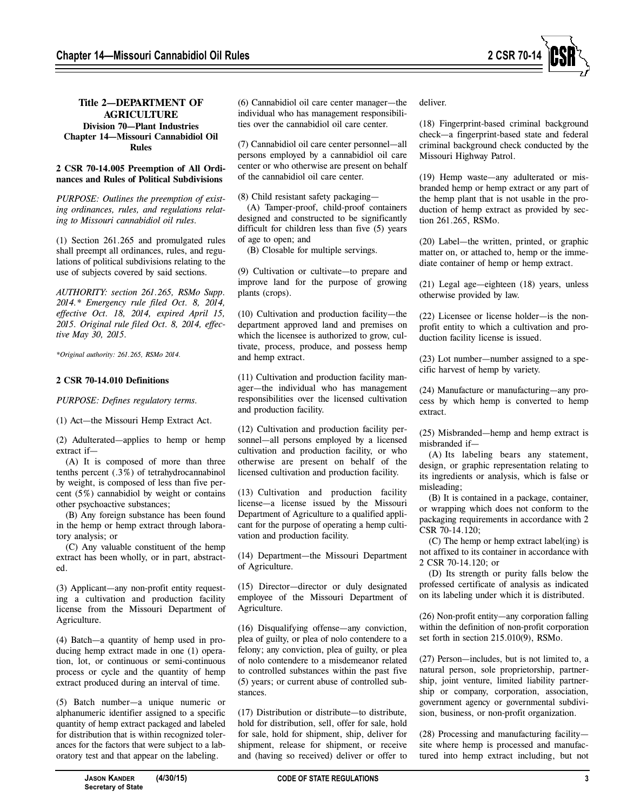

# **Title 2—DEPARTMENT OF AGRICULTURE Division 70—Plant Industries Chapter 14—Missouri Cannabidiol Oil Rules**

# **2 CSR 70-14.005 Preemption of All Ordinances and Rules of Political Subdivisions**

*PURPOSE: Outlines the preemption of existing ordinances, rules, and regulations relating to Missouri cannabidiol oil rules.* 

(1) Section 261.265 and promulgated rules shall preempt all ordinances, rules, and regulations of political subdivisions relating to the use of subjects covered by said sections.

*AUTHORITY: section 261.265, RSMo Supp. 2014.\* Emergency rule filed Oct. 8, 2014, effective Oct. 18, 2014, expired April 15, 2015. Original rule filed Oct. 8, 2014, effective May 30, 2015.* 

*\*Original authority: 261.265, RSMo 2014.*

# **2 CSR 70-14.010 Definitions**

*PURPOSE: Defines regulatory terms.*

(1) Act—the Missouri Hemp Extract Act.

(2) Adulterated—applies to hemp or hemp extract if—

(A) It is composed of more than three tenths percent (.3%) of tetrahydrocannabinol by weight, is composed of less than five percent (5%) cannabidiol by weight or contains other psychoactive substances;

(B) Any foreign substance has been found in the hemp or hemp extract through laboratory analysis; or

(C) Any valuable constituent of the hemp extract has been wholly, or in part, abstracted.

(3) Applicant—any non-profit entity requesting a cultivation and production facility license from the Missouri Department of Agriculture.

(4) Batch—a quantity of hemp used in producing hemp extract made in one (1) operation, lot, or continuous or semi-continuous process or cycle and the quantity of hemp extract produced during an interval of time.

(5) Batch number—a unique numeric or alphanumeric identifier assigned to a specific quantity of hemp extract packaged and labeled for distribution that is within recognized tolerances for the factors that were subject to a laboratory test and that appear on the labeling.

(6) Cannabidiol oil care center manager—the individual who has management responsibilities over the cannabidiol oil care center.

(7) Cannabidiol oil care center personnel—all persons employed by a cannabidiol oil care center or who otherwise are present on behalf of the cannabidiol oil care center.

(8) Child resistant safety packaging—

(A) Tamper-proof, child-proof containers designed and constructed to be significantly difficult for children less than five (5) years of age to open; and

(B) Closable for multiple servings.

(9) Cultivation or cultivate—to prepare and improve land for the purpose of growing plants (crops).

(10) Cultivation and production facility—the department approved land and premises on which the licensee is authorized to grow, cultivate, process, produce, and possess hemp and hemp extract.

(11) Cultivation and production facility manager—the individual who has management responsibilities over the licensed cultivation and production facility.

(12) Cultivation and production facility personnel—all persons employed by a licensed cultivation and production facility, or who otherwise are present on behalf of the licensed cultivation and production facility.

(13) Cultivation and production facility license—a license issued by the Missouri Department of Agriculture to a qualified applicant for the purpose of operating a hemp cultivation and production facility.

(14) Department—the Missouri Department of Agriculture.

(15) Director—director or duly designated employee of the Missouri Department of Agriculture.

(16) Disqualifying offense—any conviction, plea of guilty, or plea of nolo contendere to a felony; any conviction, plea of guilty, or plea of nolo contendere to a misdemeanor related to controlled substances within the past five (5) years; or current abuse of controlled substances.

(17) Distribution or distribute—to distribute, hold for distribution, sell, offer for sale, hold for sale, hold for shipment, ship, deliver for shipment, release for shipment, or receive and (having so received) deliver or offer to

deliver.

(18) Fingerprint-based criminal background check—a fingerprint-based state and federal criminal background check conducted by the Missouri Highway Patrol.

(19) Hemp waste—any adulterated or misbranded hemp or hemp extract or any part of the hemp plant that is not usable in the production of hemp extract as provided by section 261.265, RSMo.

(20) Label—the written, printed, or graphic matter on, or attached to, hemp or the immediate container of hemp or hemp extract.

(21) Legal age—eighteen (18) years, unless otherwise provided by law.

(22) Licensee or license holder—is the nonprofit entity to which a cultivation and production facility license is issued.

(23) Lot number—number assigned to a specific harvest of hemp by variety.

(24) Manufacture or manufacturing—any process by which hemp is converted to hemp extract.

(25) Misbranded—hemp and hemp extract is misbranded if—

(A) Its labeling bears any statement, design, or graphic representation relating to its ingredients or analysis, which is false or misleading;

(B) It is contained in a package, container, or wrapping which does not conform to the packaging requirements in accordance with 2 CSR 70-14.120;

(C) The hemp or hemp extract label(ing) is not affixed to its container in accordance with 2 CSR 70-14.120; or

(D) Its strength or purity falls below the professed certificate of analysis as indicated on its labeling under which it is distributed.

(26) Non-profit entity—any corporation falling within the definition of non-profit corporation set forth in section 215.010(9), RSMo.

(27) Person—includes, but is not limited to, a natural person, sole proprietorship, partnership, joint venture, limited liability partnership or company, corporation, association, government agency or governmental subdivision, business, or non-profit organization.

(28) Processing and manufacturing facility site where hemp is processed and manufactured into hemp extract including, but not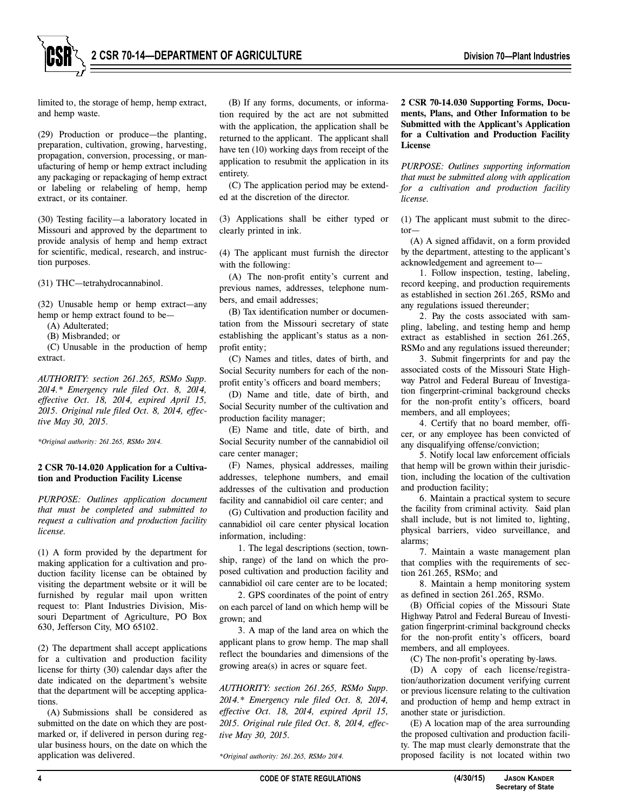**2 CSR 70-14—DEPARTMENT OF AGRICULTURE Division 70—Plant Industries**

limited to, the storage of hemp, hemp extract, and hemp waste.

(29) Production or produce—the planting, preparation, cultivation, growing, harvesting, propagation, conversion, processing, or manufacturing of hemp or hemp extract including any packaging or repackaging of hemp extract or labeling or relabeling of hemp, hemp extract, or its container.

(30) Testing facility—a laboratory located in Missouri and approved by the department to provide analysis of hemp and hemp extract for scientific, medical, research, and instruction purposes.

(31) THC—tetrahydrocannabinol.

(32) Unusable hemp or hemp extract—any hemp or hemp extract found to be—

(A) Adulterated;

(B) Misbranded; or

(C) Unusable in the production of hemp extract.

*AUTHORITY: section 261.265, RSMo Supp. 2014.\* Emergency rule filed Oct. 8, 2014, effective Oct. 18, 2014, expired April 15, 2015. Original rule filed Oct. 8, 2014, effective May 30, 2015.* 

*\*Original authority: 261.265, RSMo 2014.* 

# **2 CSR 70-14.020 Application for a Cultivation and Production Facility License**

*PURPOSE: Outlines application document that must be completed and submitted to request a cultivation and production facility license.* 

(1) A form provided by the department for making application for a cultivation and production facility license can be obtained by visiting the department website or it will be furnished by regular mail upon written request to: Plant Industries Division, Missouri Department of Agriculture, PO Box 630, Jefferson City, MO 65102.

(2) The department shall accept applications for a cultivation and production facility license for thirty (30) calendar days after the date indicated on the department's website that the department will be accepting applications.

(A) Submissions shall be considered as submitted on the date on which they are postmarked or, if delivered in person during regular business hours, on the date on which the application was delivered.

(B) If any forms, documents, or information required by the act are not submitted with the application, the application shall be returned to the applicant. The applicant shall have ten (10) working days from receipt of the application to resubmit the application in its entirety.

(C) The application period may be extended at the discretion of the director.

(3) Applications shall be either typed or clearly printed in ink.

(4) The applicant must furnish the director with the following:

(A) The non-profit entity's current and previous names, addresses, telephone numbers, and email addresses;

(B) Tax identification number or documentation from the Missouri secretary of state establishing the applicant's status as a nonprofit entity;

(C) Names and titles, dates of birth, and Social Security numbers for each of the nonprofit entity's officers and board members;

(D) Name and title, date of birth, and Social Security number of the cultivation and production facility manager;

(E) Name and title, date of birth, and Social Security number of the cannabidiol oil care center manager;

(F) Names, physical addresses, mailing addresses, telephone numbers, and email addresses of the cultivation and production facility and cannabidiol oil care center; and

(G) Cultivation and production facility and cannabidiol oil care center physical location information, including:

1. The legal descriptions (section, township, range) of the land on which the proposed cultivation and production facility and cannabidiol oil care center are to be located;

2. GPS coordinates of the point of entry on each parcel of land on which hemp will be grown; and

3. A map of the land area on which the applicant plans to grow hemp. The map shall reflect the boundaries and dimensions of the growing area(s) in acres or square feet.

*AUTHORITY: section 261.265, RSMo Supp. 2014.\* Emergency rule filed Oct. 8, 2014, effective Oct. 18, 2014, expired April 15, 2015. Original rule filed Oct. 8, 2014, effective May 30, 2015.* 

*\*Original authority: 261.265, RSMo 2014.*

**2 CSR 70-14.030 Supporting Forms, Documents, Plans, and Other Information to be Submitted with the Applicant's Application for a Cultivation and Production Facility License**

*PURPOSE: Outlines supporting information that must be submitted along with application for a cultivation and production facility license.*

(1) The applicant must submit to the director—

(A) A signed affidavit, on a form provided by the department, attesting to the applicant's acknowledgement and agreement to—

1. Follow inspection, testing, labeling, record keeping, and production requirements as established in section 261.265, RSMo and any regulations issued thereunder;

2. Pay the costs associated with sampling, labeling, and testing hemp and hemp extract as established in section 261.265, RSMo and any regulations issued thereunder;

3. Submit fingerprints for and pay the associated costs of the Missouri State Highway Patrol and Federal Bureau of Investigation fingerprint-criminal background checks for the non-profit entity's officers, board members, and all employees;

4. Certify that no board member, officer, or any employee has been convicted of any disqualifying offense/conviction;

5. Notify local law enforcement officials that hemp will be grown within their jurisdiction, including the location of the cultivation and production facility;

6. Maintain a practical system to secure the facility from criminal activity. Said plan shall include, but is not limited to, lighting, physical barriers, video surveillance, and alarms;

7. Maintain a waste management plan that complies with the requirements of section 261.265, RSMo; and

8. Maintain a hemp monitoring system as defined in section 261.265, RSMo.

(B) Official copies of the Missouri State Highway Patrol and Federal Bureau of Investigation fingerprint-criminal background checks for the non-profit entity's officers, board members, and all employees.

(C) The non-profit's operating by-laws.

(D) A copy of each license/registration/authorization document verifying current or previous licensure relating to the cultivation and production of hemp and hemp extract in another state or jurisdiction.

(E) A location map of the area surrounding the proposed cultivation and production facility. The map must clearly demonstrate that the proposed facility is not located within two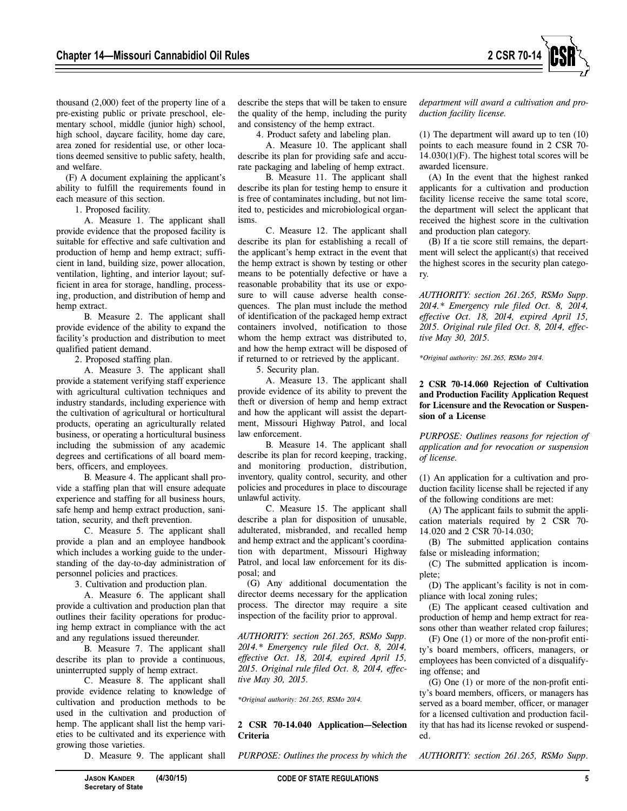

mentary school, middle (junior high) school, high school, daycare facility, home day care, area zoned for residential use, or other locations deemed sensitive to public safety, health, and welfare.

(F) A document explaining the applicant's ability to fulfill the requirements found in each measure of this section.

1. Proposed facility.

A. Measure 1. The applicant shall provide evidence that the proposed facility is suitable for effective and safe cultivation and production of hemp and hemp extract; sufficient in land, building size, power allocation, ventilation, lighting, and interior layout; sufficient in area for storage, handling, processing, production, and distribution of hemp and hemp extract.

B. Measure 2. The applicant shall provide evidence of the ability to expand the facility's production and distribution to meet qualified patient demand.

2. Proposed staffing plan.

A. Measure 3. The applicant shall provide a statement verifying staff experience with agricultural cultivation techniques and industry standards, including experience with the cultivation of agricultural or horticultural products, operating an agriculturally related business, or operating a horticultural business including the submission of any academic degrees and certifications of all board members, officers, and employees.

B. Measure 4. The applicant shall provide a staffing plan that will ensure adequate experience and staffing for all business hours, safe hemp and hemp extract production, sanitation, security, and theft prevention.

C. Measure 5. The applicant shall provide a plan and an employee handbook which includes a working guide to the understanding of the day-to-day administration of personnel policies and practices.

3. Cultivation and production plan.

A. Measure 6. The applicant shall provide a cultivation and production plan that outlines their facility operations for producing hemp extract in compliance with the act and any regulations issued thereunder.

B. Measure 7. The applicant shall describe its plan to provide a continuous, uninterrupted supply of hemp extract.

C. Measure 8. The applicant shall provide evidence relating to knowledge of cultivation and production methods to be used in the cultivation and production of hemp. The applicant shall list the hemp varieties to be cultivated and its experience with growing those varieties.

D. Measure 9. The applicant shall

describe the steps that will be taken to ensure the quality of the hemp, including the purity and consistency of the hemp extract.

4. Product safety and labeling plan.

A. Measure 10. The applicant shall describe its plan for providing safe and accurate packaging and labeling of hemp extract.

B. Measure 11. The applicant shall describe its plan for testing hemp to ensure it is free of contaminates including, but not limited to, pesticides and microbiological organisms.

C. Measure 12. The applicant shall describe its plan for establishing a recall of the applicant's hemp extract in the event that the hemp extract is shown by testing or other means to be potentially defective or have a reasonable probability that its use or exposure to will cause adverse health consequences. The plan must include the method of identification of the packaged hemp extract containers involved, notification to those whom the hemp extract was distributed to, and how the hemp extract will be disposed of if returned to or retrieved by the applicant.

5. Security plan.

A. Measure 13. The applicant shall provide evidence of its ability to prevent the theft or diversion of hemp and hemp extract and how the applicant will assist the department, Missouri Highway Patrol, and local law enforcement.

B. Measure 14. The applicant shall describe its plan for record keeping, tracking, and monitoring production, distribution, inventory, quality control, security, and other policies and procedures in place to discourage unlawful activity.

C. Measure 15. The applicant shall describe a plan for disposition of unusable, adulterated, misbranded, and recalled hemp and hemp extract and the applicant's coordination with department, Missouri Highway Patrol, and local law enforcement for its disposal; and

(G) Any additional documentation the director deems necessary for the application process. The director may require a site inspection of the facility prior to approval.

*AUTHORITY: section 261.265, RSMo Supp. 2014.\* Emergency rule filed Oct. 8, 2014, effective Oct. 18, 2014, expired April 15, 2015. Original rule filed Oct. 8, 2014, effective May 30, 2015.* 

*\*Original authority: 261.265, RSMo 2014.*

**2 CSR 70-14.040 Application—Selection Criteria**

*PURPOSE: Outlines the process by which the*

*department will award a cultivation and production facility license.*

(1) The department will award up to ten (10) points to each measure found in 2 CSR 70-  $14.030(1)$ (F). The highest total scores will be awarded licensure.

(A) In the event that the highest ranked applicants for a cultivation and production facility license receive the same total score, the department will select the applicant that received the highest score in the cultivation and production plan category.

(B) If a tie score still remains, the department will select the applicant(s) that received the highest scores in the security plan category.

*AUTHORITY: section 261.265, RSMo Supp. 2014.\* Emergency rule filed Oct. 8, 2014, effective Oct. 18, 2014, expired April 15, 2015. Original rule filed Oct. 8, 2014, effective May 30, 2015.* 

*\*Original authority: 261.265, RSMo 2014.*

# **2 CSR 70-14.060 Rejection of Cultivation and Production Facility Application Request for Licensure and the Revocation or Suspension of a License**

*PURPOSE: Outlines reasons for rejection of application and for revocation or suspension of license.*

(1) An application for a cultivation and production facility license shall be rejected if any of the following conditions are met:

(A) The applicant fails to submit the application materials required by 2 CSR 70- 14.020 and 2 CSR 70-14.030;

(B) The submitted application contains false or misleading information;

(C) The submitted application is incomplete;

(D) The applicant's facility is not in compliance with local zoning rules;

(E) The applicant ceased cultivation and production of hemp and hemp extract for reasons other than weather related crop failures;

(F) One (1) or more of the non-profit entity's board members, officers, managers, or employees has been convicted of a disqualifying offense; and

(G) One (1) or more of the non-profit entity's board members, officers, or managers has served as a board member, officer, or manager for a licensed cultivation and production facility that has had its license revoked or suspended.

*AUTHORITY: section 261.265, RSMo Supp.*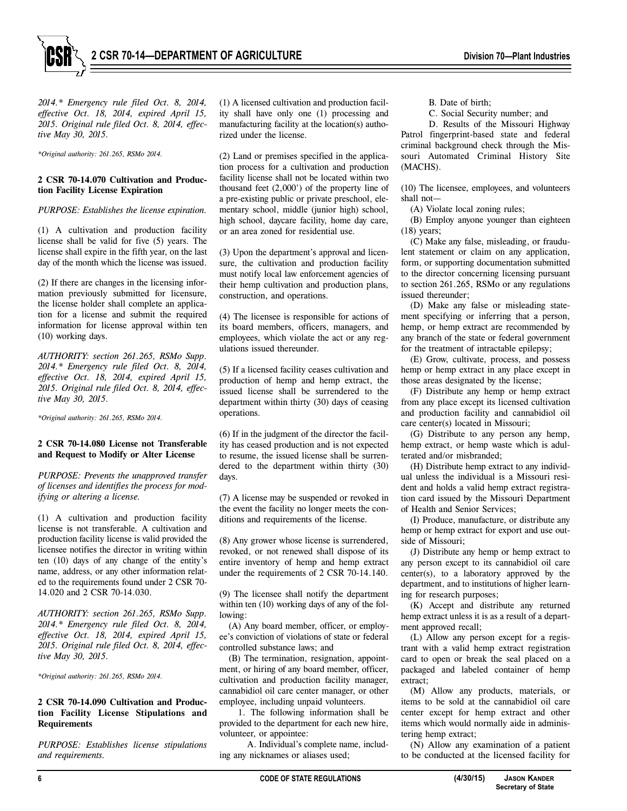



*2014.\* Emergency rule filed Oct. 8, 2014, effective Oct. 18, 2014, expired April 15, 2015. Original rule filed Oct. 8, 2014, effective May 30, 2015.* 

*\*Original authority: 261.265, RSMo 2014.*

#### **2 CSR 70-14.070 Cultivation and Production Facility License Expiration**

*PURPOSE: Establishes the license expiration.*

(1) A cultivation and production facility license shall be valid for five (5) years. The license shall expire in the fifth year, on the last day of the month which the license was issued.

(2) If there are changes in the licensing information previously submitted for licensure, the license holder shall complete an application for a license and submit the required information for license approval within ten (10) working days.

*AUTHORITY: section 261.265, RSMo Supp. 2014.\* Emergency rule filed Oct. 8, 2014, effective Oct. 18, 2014, expired April 15, 2015. Original rule filed Oct. 8, 2014, effective May 30, 2015.* 

*\*Original authority: 261.265, RSMo 2014.*

# **2 CSR 70-14.080 License not Transferable and Request to Modify or Alter License**

*PURPOSE: Prevents the unapproved transfer of licenses and identifies the process for modifying or altering a license.*

(1) A cultivation and production facility license is not transferable. A cultivation and production facility license is valid provided the licensee notifies the director in writing within ten (10) days of any change of the entity's name, address, or any other information related to the requirements found under 2 CSR 70- 14.020 and 2 CSR 70-14.030.

*AUTHORITY: section 261.265, RSMo Supp. 2014.\* Emergency rule filed Oct. 8, 2014, effective Oct. 18, 2014, expired April 15, 2015. Original rule filed Oct. 8, 2014, effective May 30, 2015.* 

*\*Original authority: 261.265, RSMo 2014.*

#### **2 CSR 70-14.090 Cultivation and Production Facility License Stipulations and Requirements**

*PURPOSE: Establishes license stipulations and requirements.*

(1) A licensed cultivation and production facility shall have only one (1) processing and manufacturing facility at the location(s) authorized under the license.

(2) Land or premises specified in the application process for a cultivation and production facility license shall not be located within two thousand feet (2,000') of the property line of a pre-existing public or private preschool, elementary school, middle (junior high) school, high school, daycare facility, home day care, or an area zoned for residential use.

(3) Upon the department's approval and licensure, the cultivation and production facility must notify local law enforcement agencies of their hemp cultivation and production plans, construction, and operations.

(4) The licensee is responsible for actions of its board members, officers, managers, and employees, which violate the act or any regulations issued thereunder.

(5) If a licensed facility ceases cultivation and production of hemp and hemp extract, the issued license shall be surrendered to the department within thirty (30) days of ceasing operations.

(6) If in the judgment of the director the facility has ceased production and is not expected to resume, the issued license shall be surrendered to the department within thirty (30) days.

(7) A license may be suspended or revoked in the event the facility no longer meets the conditions and requirements of the license.

(8) Any grower whose license is surrendered, revoked, or not renewed shall dispose of its entire inventory of hemp and hemp extract under the requirements of 2 CSR 70-14.140.

(9) The licensee shall notify the department within ten (10) working days of any of the following:

(A) Any board member, officer, or employee's conviction of violations of state or federal controlled substance laws; and

(B) The termination, resignation, appointment, or hiring of any board member, officer, cultivation and production facility manager, cannabidiol oil care center manager, or other employee, including unpaid volunteers.

1. The following information shall be provided to the department for each new hire, volunteer, or appointee:

A. Individual's complete name, including any nicknames or aliases used;

B. Date of birth;

C. Social Security number; and

D. Results of the Missouri Highway Patrol fingerprint-based state and federal criminal background check through the Missouri Automated Criminal History Site (MACHS).

(10) The licensee, employees, and volunteers shall not—

(A) Violate local zoning rules;

(B) Employ anyone younger than eighteen (18) years;

(C) Make any false, misleading, or fraudulent statement or claim on any application, form, or supporting documentation submitted to the director concerning licensing pursuant to section 261.265, RSMo or any regulations issued thereunder;

(D) Make any false or misleading statement specifying or inferring that a person, hemp, or hemp extract are recommended by any branch of the state or federal government for the treatment of intractable epilepsy;

(E) Grow, cultivate, process, and possess hemp or hemp extract in any place except in those areas designated by the license;

(F) Distribute any hemp or hemp extract from any place except its licensed cultivation and production facility and cannabidiol oil care center(s) located in Missouri;

(G) Distribute to any person any hemp, hemp extract, or hemp waste which is adulterated and/or misbranded;

(H) Distribute hemp extract to any individual unless the individual is a Missouri resident and holds a valid hemp extract registration card issued by the Missouri Department of Health and Senior Services;

(I) Produce, manufacture, or distribute any hemp or hemp extract for export and use outside of Missouri;

(J) Distribute any hemp or hemp extract to any person except to its cannabidiol oil care center(s), to a laboratory approved by the department, and to institutions of higher learning for research purposes;

(K) Accept and distribute any returned hemp extract unless it is as a result of a department approved recall;

(L) Allow any person except for a registrant with a valid hemp extract registration card to open or break the seal placed on a packaged and labeled container of hemp extract;

(M) Allow any products, materials, or items to be sold at the cannabidiol oil care center except for hemp extract and other items which would normally aide in administering hemp extract;

(N) Allow any examination of a patient to be conducted at the licensed facility for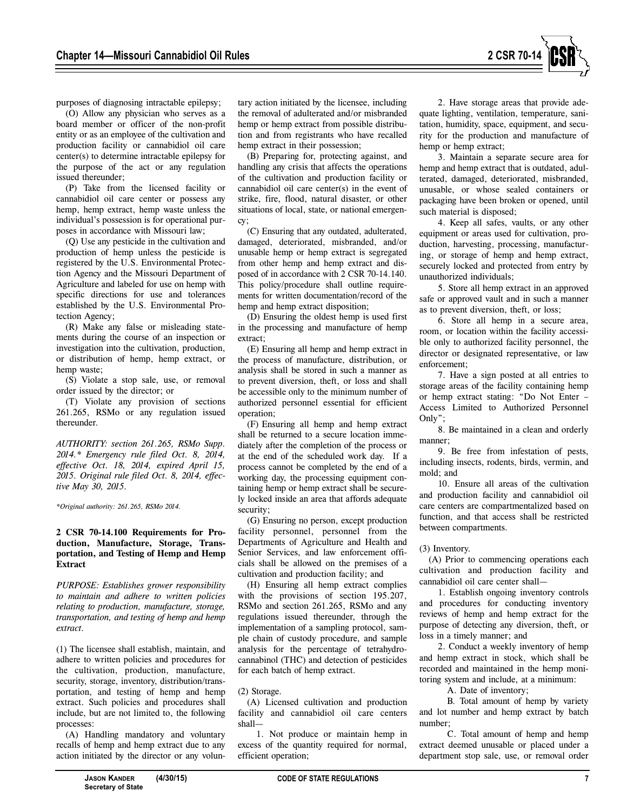

purposes of diagnosing intractable epilepsy;

(O) Allow any physician who serves as a board member or officer of the non-profit entity or as an employee of the cultivation and production facility or cannabidiol oil care center(s) to determine intractable epilepsy for the purpose of the act or any regulation issued thereunder;

(P) Take from the licensed facility or cannabidiol oil care center or possess any hemp, hemp extract, hemp waste unless the individual's possession is for operational purposes in accordance with Missouri law;

(Q) Use any pesticide in the cultivation and production of hemp unless the pesticide is registered by the U.S. Environmental Protection Agency and the Missouri Department of Agriculture and labeled for use on hemp with specific directions for use and tolerances established by the U.S. Environmental Protection Agency;

(R) Make any false or misleading statements during the course of an inspection or investigation into the cultivation, production, or distribution of hemp, hemp extract, or hemp waste;

(S) Violate a stop sale, use, or removal order issued by the director; or

(T) Violate any provision of sections 261.265, RSMo or any regulation issued thereunder.

*AUTHORITY: section 261.265, RSMo Supp. 2014.\* Emergency rule filed Oct. 8, 2014, effective Oct. 18, 2014, expired April 15, 2015. Original rule filed Oct. 8, 2014, effective May 30, 2015.* 

*\*Original authority: 261.265, RSMo 2014.* 

# **2 CSR 70-14.100 Requirements for Production, Manufacture, Storage, Transportation, and Testing of Hemp and Hemp Extract**

*PURPOSE: Establishes grower responsibility to maintain and adhere to written policies relating to production, manufacture, storage, transportation, and testing of hemp and hemp extract.*

(1) The licensee shall establish, maintain, and adhere to written policies and procedures for the cultivation, production, manufacture, security, storage, inventory, distribution/transportation, and testing of hemp and hemp extract. Such policies and procedures shall include, but are not limited to, the following processes:

(A) Handling mandatory and voluntary recalls of hemp and hemp extract due to any action initiated by the director or any volun-

tary action initiated by the licensee, including the removal of adulterated and/or misbranded hemp or hemp extract from possible distribution and from registrants who have recalled hemp extract in their possession;

(B) Preparing for, protecting against, and handling any crisis that affects the operations of the cultivation and production facility or cannabidiol oil care center(s) in the event of strike, fire, flood, natural disaster, or other situations of local, state, or national emergency;

(C) Ensuring that any outdated, adulterated, damaged, deteriorated, misbranded, and/or unusable hemp or hemp extract is segregated from other hemp and hemp extract and disposed of in accordance with 2 CSR 70-14.140. This policy/procedure shall outline requirements for written documentation/record of the hemp and hemp extract disposition;

(D) Ensuring the oldest hemp is used first in the processing and manufacture of hemp extract;

(E) Ensuring all hemp and hemp extract in the process of manufacture, distribution, or analysis shall be stored in such a manner as to prevent diversion, theft, or loss and shall be accessible only to the minimum number of authorized personnel essential for efficient operation;

(F) Ensuring all hemp and hemp extract shall be returned to a secure location immediately after the completion of the process or at the end of the scheduled work day. If a process cannot be completed by the end of a working day, the processing equipment containing hemp or hemp extract shall be securely locked inside an area that affords adequate security;

(G) Ensuring no person, except production facility personnel, personnel from the Departments of Agriculture and Health and Senior Services, and law enforcement officials shall be allowed on the premises of a cultivation and production facility; and

(H) Ensuring all hemp extract complies with the provisions of section 195.207, RSMo and section 261.265, RSMo and any regulations issued thereunder, through the implementation of a sampling protocol, sample chain of custody procedure, and sample analysis for the percentage of tetrahydrocannabinol (THC) and detection of pesticides for each batch of hemp extract.

#### (2) Storage.

(A) Licensed cultivation and production facility and cannabidiol oil care centers shall—

1. Not produce or maintain hemp in excess of the quantity required for normal, efficient operation;

2. Have storage areas that provide adequate lighting, ventilation, temperature, sanitation, humidity, space, equipment, and security for the production and manufacture of hemp or hemp extract;

3. Maintain a separate secure area for hemp and hemp extract that is outdated, adulterated, damaged, deteriorated, misbranded, unusable, or whose sealed containers or packaging have been broken or opened, until such material is disposed;

4. Keep all safes, vaults, or any other equipment or areas used for cultivation, production, harvesting, processing, manufacturing, or storage of hemp and hemp extract, securely locked and protected from entry by unauthorized individuals;

5. Store all hemp extract in an approved safe or approved vault and in such a manner as to prevent diversion, theft, or loss;

6. Store all hemp in a secure area, room, or location within the facility accessible only to authorized facility personnel, the director or designated representative, or law enforcement;

7. Have a sign posted at all entries to storage areas of the facility containing hemp or hemp extract stating: "Do Not Enter – Access Limited to Authorized Personnel Only";

8. Be maintained in a clean and orderly manner;

9. Be free from infestation of pests, including insects, rodents, birds, vermin, and mold; and

10. Ensure all areas of the cultivation and production facility and cannabidiol oil care centers are compartmentalized based on function, and that access shall be restricted between compartments.

# (3) Inventory.

(A) Prior to commencing operations each cultivation and production facility and cannabidiol oil care center shall—

1. Establish ongoing inventory controls and procedures for conducting inventory reviews of hemp and hemp extract for the purpose of detecting any diversion, theft, or loss in a timely manner; and

2. Conduct a weekly inventory of hemp and hemp extract in stock, which shall be recorded and maintained in the hemp monitoring system and include, at a minimum:

A. Date of inventory;

B. Total amount of hemp by variety and lot number and hemp extract by batch number;

C. Total amount of hemp and hemp extract deemed unusable or placed under a department stop sale, use, or removal order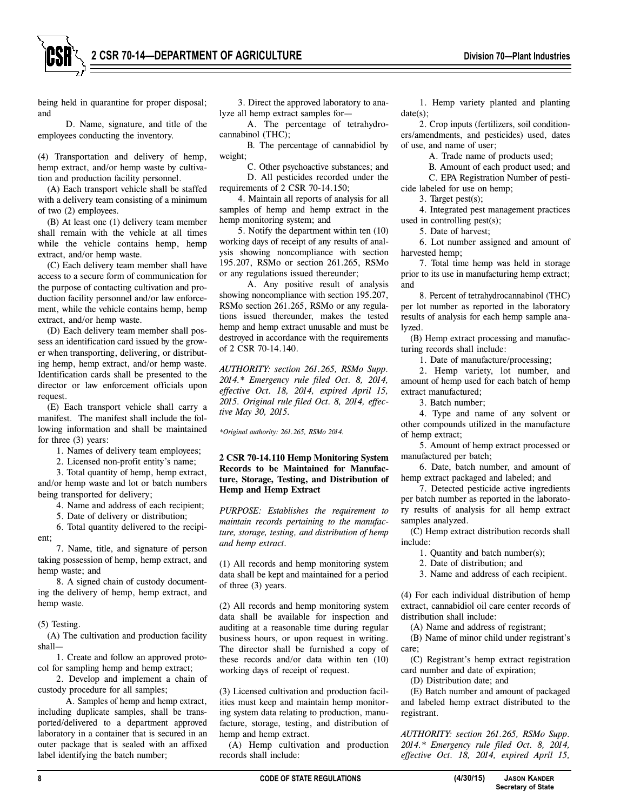

being held in quarantine for proper disposal; and

D. Name, signature, and title of the employees conducting the inventory.

(4) Transportation and delivery of hemp, hemp extract, and/or hemp waste by cultivation and production facility personnel.

(A) Each transport vehicle shall be staffed with a delivery team consisting of a minimum of two (2) employees.

(B) At least one (1) delivery team member shall remain with the vehicle at all times while the vehicle contains hemp, hemp extract, and/or hemp waste.

(C) Each delivery team member shall have access to a secure form of communication for the purpose of contacting cultivation and production facility personnel and/or law enforcement, while the vehicle contains hemp, hemp extract, and/or hemp waste.

(D) Each delivery team member shall possess an identification card issued by the grower when transporting, delivering, or distributing hemp, hemp extract, and/or hemp waste. Identification cards shall be presented to the director or law enforcement officials upon request.

(E) Each transport vehicle shall carry a manifest. The manifest shall include the following information and shall be maintained for three (3) years:

1. Names of delivery team employees;

2. Licensed non-profit entity's name;

3. Total quantity of hemp, hemp extract, and/or hemp waste and lot or batch numbers being transported for delivery;

4. Name and address of each recipient;

5. Date of delivery or distribution;

6. Total quantity delivered to the recipient;

7. Name, title, and signature of person taking possession of hemp, hemp extract, and hemp waste; and

8. A signed chain of custody documenting the delivery of hemp, hemp extract, and hemp waste.

(5) Testing.

(A) The cultivation and production facility shall—

1. Create and follow an approved protocol for sampling hemp and hemp extract;

2. Develop and implement a chain of custody procedure for all samples;

A. Samples of hemp and hemp extract, including duplicate samples, shall be transported/delivered to a department approved laboratory in a container that is secured in an outer package that is sealed with an affixed label identifying the batch number;

3. Direct the approved laboratory to analyze all hemp extract samples for—

A. The percentage of tetrahydrocannabinol (THC);

B. The percentage of cannabidiol by weight;

C. Other psychoactive substances; and D. All pesticides recorded under the

requirements of 2 CSR 70-14.150;

4. Maintain all reports of analysis for all samples of hemp and hemp extract in the hemp monitoring system; and

5. Notify the department within ten (10) working days of receipt of any results of analysis showing noncompliance with section 195.207, RSMo or section 261.265, RSMo or any regulations issued thereunder;

A. Any positive result of analysis showing noncompliance with section 195.207, RSMo section 261.265, RSMo or any regulations issued thereunder, makes the tested hemp and hemp extract unusable and must be destroyed in accordance with the requirements of 2 CSR 70-14.140.

*AUTHORITY: section 261.265, RSMo Supp. 2014.\* Emergency rule filed Oct. 8, 2014, effective Oct. 18, 2014, expired April 15, 2015. Original rule filed Oct. 8, 2014, effective May 30, 2015.* 

*\*Original authority: 261.265, RSMo 2014.*

# **2 CSR 70-14.110 Hemp Monitoring System Records to be Maintained for Manufacture, Storage, Testing, and Distribution of Hemp and Hemp Extract**

*PURPOSE: Establishes the requirement to maintain records pertaining to the manufacture, storage, testing, and distribution of hemp and hemp extract.*

(1) All records and hemp monitoring system data shall be kept and maintained for a period of three (3) years.

(2) All records and hemp monitoring system data shall be available for inspection and auditing at a reasonable time during regular business hours, or upon request in writing. The director shall be furnished a copy of these records and/or data within ten (10) working days of receipt of request.

(3) Licensed cultivation and production facilities must keep and maintain hemp monitoring system data relating to production, manufacture, storage, testing, and distribution of hemp and hemp extract.

(A) Hemp cultivation and production records shall include:

1. Hemp variety planted and planting date(s);

2. Crop inputs (fertilizers, soil conditioners/amendments, and pesticides) used, dates of use, and name of user;

A. Trade name of products used;

B. Amount of each product used; and

C. EPA Registration Number of pesticide labeled for use on hemp;

3. Target pest(s);

4. Integrated pest management practices used in controlling pest(s);

5. Date of harvest;

6. Lot number assigned and amount of harvested hemp;

7. Total time hemp was held in storage prior to its use in manufacturing hemp extract; and

8. Percent of tetrahydrocannabinol (THC) per lot number as reported in the laboratory results of analysis for each hemp sample analyzed.

(B) Hemp extract processing and manufacturing records shall include:

1. Date of manufacture/processing;

2. Hemp variety, lot number, and amount of hemp used for each batch of hemp extract manufactured;

3. Batch number;

4. Type and name of any solvent or other compounds utilized in the manufacture of hemp extract;

5. Amount of hemp extract processed or manufactured per batch;

6. Date, batch number, and amount of hemp extract packaged and labeled; and

7. Detected pesticide active ingredients per batch number as reported in the laboratory results of analysis for all hemp extract samples analyzed.

(C) Hemp extract distribution records shall include:

1. Quantity and batch number(s);

2. Date of distribution; and

3. Name and address of each recipient.

(4) For each individual distribution of hemp extract, cannabidiol oil care center records of distribution shall include:

(A) Name and address of registrant;

(B) Name of minor child under registrant's care;

(C) Registrant's hemp extract registration card number and date of expiration;

(D) Distribution date; and

(E) Batch number and amount of packaged and labeled hemp extract distributed to the registrant.

*AUTHORITY: section 261.265, RSMo Supp. 2014.\* Emergency rule filed Oct. 8, 2014, effective Oct. 18, 2014, expired April 15,*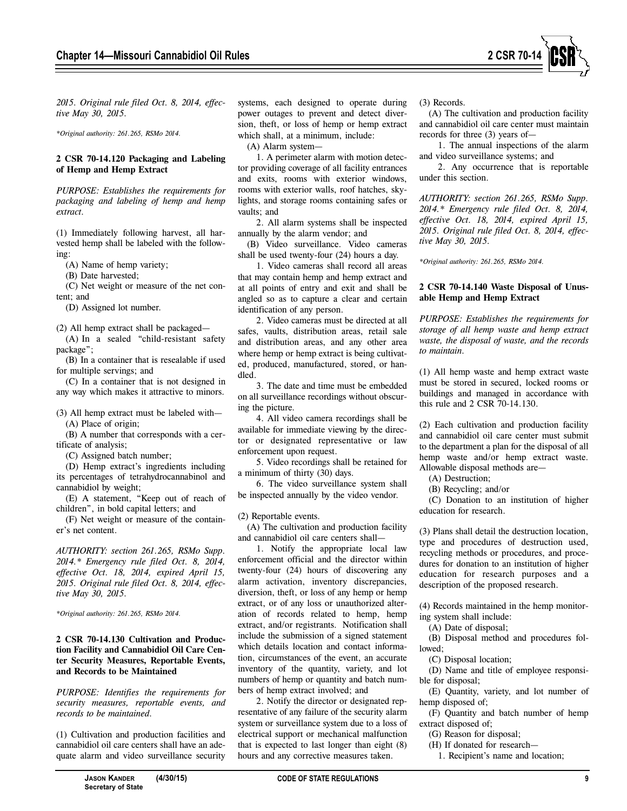

*2015. Original rule filed Oct. 8, 2014, effective May 30, 2015.* 

*\*Original authority: 261.265, RSMo 2014.*

#### **2 CSR 70-14.120 Packaging and Labeling of Hemp and Hemp Extract**

*PURPOSE: Establishes the requirements for packaging and labeling of hemp and hemp extract.*

(1) Immediately following harvest, all harvested hemp shall be labeled with the following:

(A) Name of hemp variety;

(B) Date harvested;

(C) Net weight or measure of the net content; and

(D) Assigned lot number.

(2) All hemp extract shall be packaged—

(A) In a sealed "child-resistant safety package";

(B) In a container that is resealable if used for multiple servings; and

(C) In a container that is not designed in any way which makes it attractive to minors.

(3) All hemp extract must be labeled with— (A) Place of origin;

(B) A number that corresponds with a certificate of analysis;

(C) Assigned batch number;

(D) Hemp extract's ingredients including its percentages of tetrahydrocannabinol and cannabidiol by weight;

(E) A statement, "Keep out of reach of children", in bold capital letters; and

(F) Net weight or measure of the container's net content.

*AUTHORITY: section 261.265, RSMo Supp. 2014.\* Emergency rule filed Oct. 8, 2014, effective Oct. 18, 2014, expired April 15, 2015. Original rule filed Oct. 8, 2014, effective May 30, 2015.* 

*\*Original authority: 261.265, RSMo 2014.*

# **2 CSR 70-14.130 Cultivation and Production Facility and Cannabidiol Oil Care Center Security Measures, Reportable Events, and Records to be Maintained**

*PURPOSE: Identifies the requirements for security measures, reportable events, and records to be maintained.*

(1) Cultivation and production facilities and cannabidiol oil care centers shall have an adequate alarm and video surveillance security systems, each designed to operate during power outages to prevent and detect diversion, theft, or loss of hemp or hemp extract which shall, at a minimum, include:

(A) Alarm system—

1. A perimeter alarm with motion detector providing coverage of all facility entrances and exits, rooms with exterior windows, rooms with exterior walls, roof hatches, skylights, and storage rooms containing safes or vaults; and

2. All alarm systems shall be inspected annually by the alarm vendor; and

(B) Video surveillance. Video cameras shall be used twenty-four (24) hours a day.

1. Video cameras shall record all areas that may contain hemp and hemp extract and at all points of entry and exit and shall be angled so as to capture a clear and certain identification of any person.

2. Video cameras must be directed at all safes, vaults, distribution areas, retail sale and distribution areas, and any other area where hemp or hemp extract is being cultivated, produced, manufactured, stored, or handled.

3. The date and time must be embedded on all surveillance recordings without obscuring the picture.

4. All video camera recordings shall be available for immediate viewing by the director or designated representative or law enforcement upon request.

5. Video recordings shall be retained for a minimum of thirty (30) days.

6. The video surveillance system shall be inspected annually by the video vendor.

(2) Reportable events.

(A) The cultivation and production facility and cannabidiol oil care centers shall—

1. Notify the appropriate local law enforcement official and the director within twenty-four (24) hours of discovering any alarm activation, inventory discrepancies, diversion, theft, or loss of any hemp or hemp extract, or of any loss or unauthorized alteration of records related to hemp, hemp extract, and/or registrants. Notification shall include the submission of a signed statement which details location and contact information, circumstances of the event, an accurate inventory of the quantity, variety, and lot numbers of hemp or quantity and batch numbers of hemp extract involved; and

2. Notify the director or designated representative of any failure of the security alarm system or surveillance system due to a loss of electrical support or mechanical malfunction that is expected to last longer than eight (8) hours and any corrective measures taken.

(3) Records.

(A) The cultivation and production facility and cannabidiol oil care center must maintain records for three (3) years of—

1. The annual inspections of the alarm and video surveillance systems; and

2. Any occurrence that is reportable under this section.

*AUTHORITY: section 261.265, RSMo Supp. 2014.\* Emergency rule filed Oct. 8, 2014, effective Oct. 18, 2014, expired April 15, 2015. Original rule filed Oct. 8, 2014, effective May 30, 2015.* 

*\*Original authority: 261.265, RSMo 2014.*

# **2 CSR 70-14.140 Waste Disposal of Unusable Hemp and Hemp Extract**

*PURPOSE: Establishes the requirements for storage of all hemp waste and hemp extract waste, the disposal of waste, and the records to maintain.*

(1) All hemp waste and hemp extract waste must be stored in secured, locked rooms or buildings and managed in accordance with this rule and 2 CSR 70-14.130.

(2) Each cultivation and production facility and cannabidiol oil care center must submit to the department a plan for the disposal of all hemp waste and/or hemp extract waste. Allowable disposal methods are—

(A) Destruction;

(B) Recycling; and/or

(C) Donation to an institution of higher education for research.

(3) Plans shall detail the destruction location, type and procedures of destruction used, recycling methods or procedures, and procedures for donation to an institution of higher education for research purposes and a description of the proposed research.

(4) Records maintained in the hemp monitoring system shall include:

(A) Date of disposal;

(B) Disposal method and procedures followed;

(C) Disposal location;

(D) Name and title of employee responsible for disposal;

(E) Quantity, variety, and lot number of hemp disposed of;

(F) Quantity and batch number of hemp extract disposed of;

(G) Reason for disposal;

(H) If donated for research—

1. Recipient's name and location;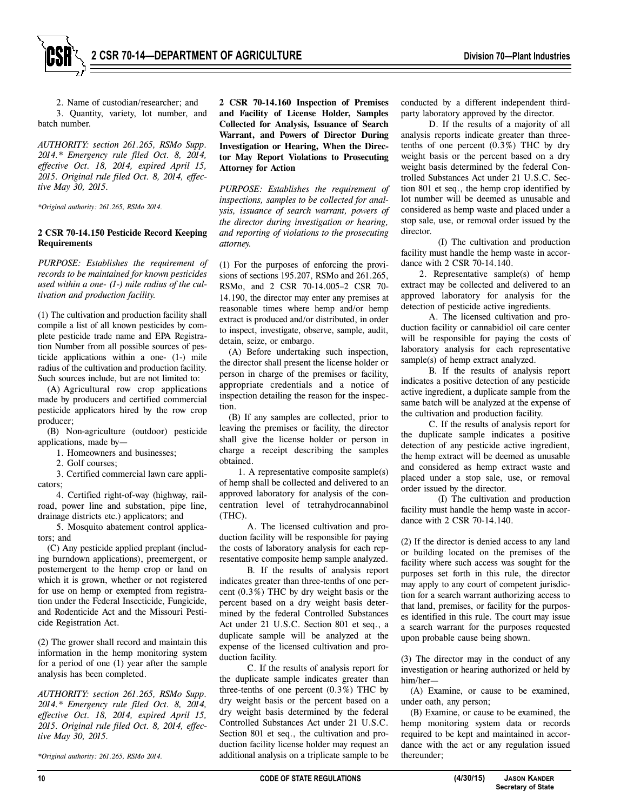

2. Name of custodian/researcher; and 3. Quantity, variety, lot number, and batch number.

*AUTHORITY: section 261.265, RSMo Supp. 2014.\* Emergency rule filed Oct. 8, 2014, effective Oct. 18, 2014, expired April 15, 2015. Original rule filed Oct. 8, 2014, effective May 30, 2015.* 

*\*Original authority: 261.265, RSMo 2014.*

## **2 CSR 70-14.150 Pesticide Record Keeping Requirements**

*PURPOSE: Establishes the requirement of records to be maintained for known pesticides used within a one- (1-) mile radius of the cultivation and production facility.*

(1) The cultivation and production facility shall compile a list of all known pesticides by complete pesticide trade name and EPA Registration Number from all possible sources of pesticide applications within a one- (1-) mile radius of the cultivation and production facility. Such sources include, but are not limited to:

(A) Agricultural row crop applications made by producers and certified commercial pesticide applicators hired by the row crop producer;

(B) Non-agriculture (outdoor) pesticide applications, made by—

1. Homeowners and businesses;

2. Golf courses:

3. Certified commercial lawn care applicators;

4. Certified right-of-way (highway, railroad, power line and substation, pipe line, drainage districts etc.) applicators; and

5. Mosquito abatement control applicators; and

(C) Any pesticide applied preplant (including burndown applications), preemergent, or postemergent to the hemp crop or land on which it is grown, whether or not registered for use on hemp or exempted from registration under the Federal Insecticide, Fungicide, and Rodenticide Act and the Missouri Pesticide Registration Act.

(2) The grower shall record and maintain this information in the hemp monitoring system for a period of one (1) year after the sample analysis has been completed.

*AUTHORITY: section 261.265, RSMo Supp. 2014.\* Emergency rule filed Oct. 8, 2014, effective Oct. 18, 2014, expired April 15, 2015. Original rule filed Oct. 8, 2014, effective May 30, 2015.* 

*\*Original authority: 261.265, RSMo 2014.*

**2 CSR 70-14.160 Inspection of Premises and Facility of License Holder, Samples Collected for Analysis, Issuance of Search Warrant, and Powers of Director During Investigation or Hearing, When the Director May Report Violations to Prosecuting Attorney for Action**

*PURPOSE: Establishes the requirement of inspections, samples to be collected for analysis, issuance of search warrant, powers of the director during investigation or hearing, and reporting of violations to the prosecuting attorney.* 

(1) For the purposes of enforcing the provisions of sections 195.207, RSMo and 261.265, RSMo, and 2 CSR 70-14.005–2 CSR 70- 14.190, the director may enter any premises at reasonable times where hemp and/or hemp extract is produced and/or distributed, in order to inspect, investigate, observe, sample, audit, detain, seize, or embargo.

(A) Before undertaking such inspection, the director shall present the license holder or person in charge of the premises or facility, appropriate credentials and a notice of inspection detailing the reason for the inspection.

(B) If any samples are collected, prior to leaving the premises or facility, the director shall give the license holder or person in charge a receipt describing the samples obtained.

1. A representative composite sample(s) of hemp shall be collected and delivered to an approved laboratory for analysis of the concentration level of tetrahydrocannabinol (THC).

A. The licensed cultivation and production facility will be responsible for paying the costs of laboratory analysis for each representative composite hemp sample analyzed.

B. If the results of analysis report indicates greater than three-tenths of one percent (0.3%) THC by dry weight basis or the percent based on a dry weight basis determined by the federal Controlled Substances Act under 21 U.S.C. Section 801 et seq., a duplicate sample will be analyzed at the expense of the licensed cultivation and production facility.

C. If the results of analysis report for the duplicate sample indicates greater than three-tenths of one percent  $(0.3\%)$  THC by dry weight basis or the percent based on a dry weight basis determined by the federal Controlled Substances Act under 21 U.S.C. Section 801 et seq., the cultivation and production facility license holder may request an additional analysis on a triplicate sample to be

conducted by a different independent thirdparty laboratory approved by the director.

D. If the results of a majority of all analysis reports indicate greater than threetenths of one percent (0.3%) THC by dry weight basis or the percent based on a dry weight basis determined by the federal Controlled Substances Act under 21 U.S.C. Section 801 et seq., the hemp crop identified by lot number will be deemed as unusable and considered as hemp waste and placed under a stop sale, use, or removal order issued by the director.

(I) The cultivation and production facility must handle the hemp waste in accordance with 2 CSR 70-14.140.

2. Representative sample(s) of hemp extract may be collected and delivered to an approved laboratory for analysis for the detection of pesticide active ingredients.

A. The licensed cultivation and production facility or cannabidiol oil care center will be responsible for paying the costs of laboratory analysis for each representative sample(s) of hemp extract analyzed.

B. If the results of analysis report indicates a positive detection of any pesticide active ingredient, a duplicate sample from the same batch will be analyzed at the expense of the cultivation and production facility.

C. If the results of analysis report for the duplicate sample indicates a positive detection of any pesticide active ingredient, the hemp extract will be deemed as unusable and considered as hemp extract waste and placed under a stop sale, use, or removal order issued by the director.

(I) The cultivation and production facility must handle the hemp waste in accordance with 2 CSR 70-14.140.

(2) If the director is denied access to any land or building located on the premises of the facility where such access was sought for the purposes set forth in this rule, the director may apply to any court of competent jurisdiction for a search warrant authorizing access to that land, premises, or facility for the purposes identified in this rule. The court may issue a search warrant for the purposes requested upon probable cause being shown.

(3) The director may in the conduct of any investigation or hearing authorized or held by him/her—

(A) Examine, or cause to be examined, under oath, any person;

(B) Examine, or cause to be examined, the hemp monitoring system data or records required to be kept and maintained in accordance with the act or any regulation issued thereunder;